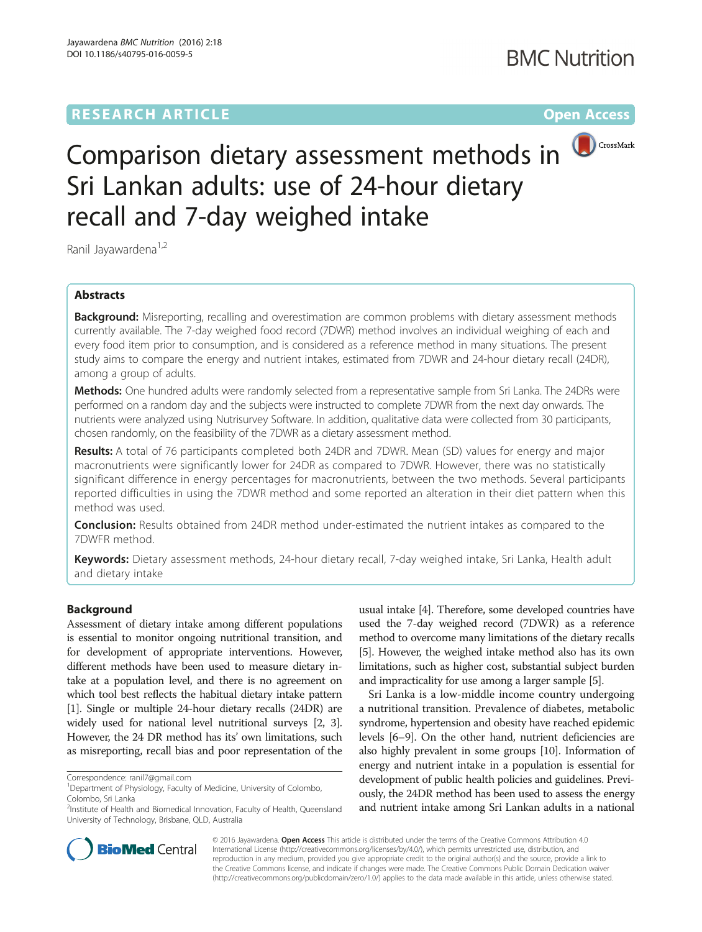## **RESEARCH ARTICLE Example 2014 12:30 The Contract of Contract ACCESS**



# Comparison dietary assessment methods in Sri Lankan adults: use of 24-hour dietary recall and 7-day weighed intake

Ranil Jayawardena<sup>1,2</sup>

#### Abstracts

**Background:** Misreporting, recalling and overestimation are common problems with dietary assessment methods currently available. The 7-day weighed food record (7DWR) method involves an individual weighing of each and every food item prior to consumption, and is considered as a reference method in many situations. The present study aims to compare the energy and nutrient intakes, estimated from 7DWR and 24-hour dietary recall (24DR), among a group of adults.

Methods: One hundred adults were randomly selected from a representative sample from Sri Lanka. The 24DRs were performed on a random day and the subjects were instructed to complete 7DWR from the next day onwards. The nutrients were analyzed using Nutrisurvey Software. In addition, qualitative data were collected from 30 participants, chosen randomly, on the feasibility of the 7DWR as a dietary assessment method.

Results: A total of 76 participants completed both 24DR and 7DWR. Mean (SD) values for energy and major macronutrients were significantly lower for 24DR as compared to 7DWR. However, there was no statistically significant difference in energy percentages for macronutrients, between the two methods. Several participants reported difficulties in using the 7DWR method and some reported an alteration in their diet pattern when this method was used.

**Conclusion:** Results obtained from 24DR method under-estimated the nutrient intakes as compared to the 7DWFR method.

Keywords: Dietary assessment methods, 24-hour dietary recall, 7-day weighed intake, Sri Lanka, Health adult and dietary intake

#### Background

Assessment of dietary intake among different populations is essential to monitor ongoing nutritional transition, and for development of appropriate interventions. However, different methods have been used to measure dietary intake at a population level, and there is no agreement on which tool best reflects the habitual dietary intake pattern [[1](#page-3-0)]. Single or multiple 24-hour dietary recalls (24DR) are widely used for national level nutritional surveys [\[2, 3](#page-3-0)]. However, the 24 DR method has its' own limitations, such as misreporting, recall bias and poor representation of the

usual intake [\[4\]](#page-3-0). Therefore, some developed countries have used the 7-day weighed record (7DWR) as a reference method to overcome many limitations of the dietary recalls [[5](#page-3-0)]. However, the weighed intake method also has its own limitations, such as higher cost, substantial subject burden and impracticality for use among a larger sample [[5\]](#page-3-0).

Sri Lanka is a low-middle income country undergoing a nutritional transition. Prevalence of diabetes, metabolic syndrome, hypertension and obesity have reached epidemic levels [\[6](#page-3-0)–[9](#page-3-0)]. On the other hand, nutrient deficiencies are also highly prevalent in some groups [\[10\]](#page-3-0). Information of energy and nutrient intake in a population is essential for development of public health policies and guidelines. Previously, the 24DR method has been used to assess the energy and nutrient intake among Sri Lankan adults in a national



© 2016 Jayawardena. Open Access This article is distributed under the terms of the Creative Commons Attribution 4.0 International License [\(http://creativecommons.org/licenses/by/4.0/](http://creativecommons.org/licenses/by/4.0/)), which permits unrestricted use, distribution, and reproduction in any medium, provided you give appropriate credit to the original author(s) and the source, provide a link to the Creative Commons license, and indicate if changes were made. The Creative Commons Public Domain Dedication waiver [\(http://creativecommons.org/publicdomain/zero/1.0/](http://creativecommons.org/publicdomain/zero/1.0/)) applies to the data made available in this article, unless otherwise stated.

Correspondence: [ranil7@gmail.com](mailto:ranil7@gmail.com) <sup>1</sup>

<sup>&</sup>lt;sup>1</sup>Department of Physiology, Faculty of Medicine, University of Colombo, Colombo, Sri Lanka

<sup>&</sup>lt;sup>2</sup>Institute of Health and Biomedical Innovation, Faculty of Health, Queensland University of Technology, Brisbane, QLD, Australia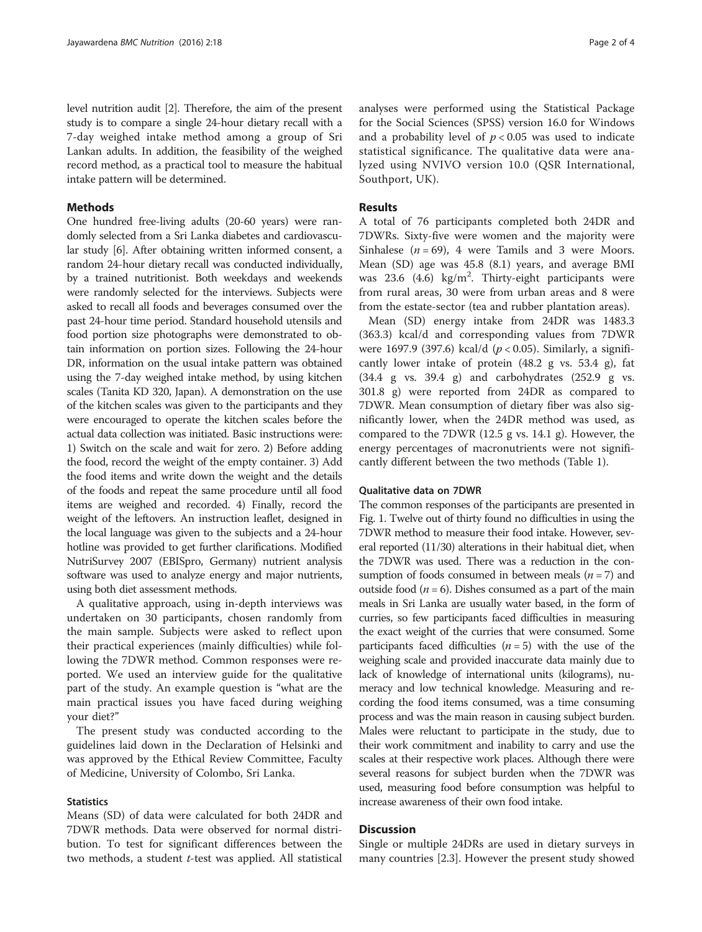level nutrition audit [[2\]](#page-3-0). Therefore, the aim of the present study is to compare a single 24-hour dietary recall with a 7-day weighed intake method among a group of Sri Lankan adults. In addition, the feasibility of the weighed record method, as a practical tool to measure the habitual intake pattern will be determined.

#### Methods

One hundred free-living adults (20-60 years) were randomly selected from a Sri Lanka diabetes and cardiovascular study [[6](#page-3-0)]. After obtaining written informed consent, a random 24-hour dietary recall was conducted individually, by a trained nutritionist. Both weekdays and weekends were randomly selected for the interviews. Subjects were asked to recall all foods and beverages consumed over the past 24-hour time period. Standard household utensils and food portion size photographs were demonstrated to obtain information on portion sizes. Following the 24-hour DR, information on the usual intake pattern was obtained using the 7-day weighed intake method, by using kitchen scales (Tanita KD 320, Japan). A demonstration on the use of the kitchen scales was given to the participants and they were encouraged to operate the kitchen scales before the actual data collection was initiated. Basic instructions were: 1) Switch on the scale and wait for zero. 2) Before adding the food, record the weight of the empty container. 3) Add the food items and write down the weight and the details of the foods and repeat the same procedure until all food items are weighed and recorded. 4) Finally, record the weight of the leftovers. An instruction leaflet, designed in the local language was given to the subjects and a 24-hour hotline was provided to get further clarifications. Modified NutriSurvey 2007 (EBISpro, Germany) nutrient analysis software was used to analyze energy and major nutrients, using both diet assessment methods.

A qualitative approach, using in-depth interviews was undertaken on 30 participants, chosen randomly from the main sample. Subjects were asked to reflect upon their practical experiences (mainly difficulties) while following the 7DWR method. Common responses were reported. We used an interview guide for the qualitative part of the study. An example question is "what are the main practical issues you have faced during weighing your diet?"

The present study was conducted according to the guidelines laid down in the Declaration of Helsinki and was approved by the Ethical Review Committee, Faculty of Medicine, University of Colombo, Sri Lanka.

#### **Statistics**

Means (SD) of data were calculated for both 24DR and 7DWR methods. Data were observed for normal distribution. To test for significant differences between the two methods, a student  $t$ -test was applied. All statistical analyses were performed using the Statistical Package for the Social Sciences (SPSS) version 16.0 for Windows and a probability level of  $p < 0.05$  was used to indicate statistical significance. The qualitative data were analyzed using NVIVO version 10.0 (QSR International, Southport, UK).

#### Results

A total of 76 participants completed both 24DR and 7DWRs. Sixty-five were women and the majority were Sinhalese ( $n = 69$ ), 4 were Tamils and 3 were Moors. Mean (SD) age was 45.8 (8.1) years, and average BMI was 23.6 (4.6) kg/m<sup>2</sup>. Thirty-eight participants were from rural areas, 30 were from urban areas and 8 were from the estate-sector (tea and rubber plantation areas).

Mean (SD) energy intake from 24DR was 1483.3 (363.3) kcal/d and corresponding values from 7DWR were 1697.9 (397.6) kcal/d ( $p < 0.05$ ). Similarly, a significantly lower intake of protein (48.2 g vs. 53.4 g), fat (34.4 g vs. 39.4 g) and carbohydrates (252.9 g vs. 301.8 g) were reported from 24DR as compared to 7DWR. Mean consumption of dietary fiber was also significantly lower, when the 24DR method was used, as compared to the 7DWR (12.5 g vs. 14.1 g). However, the energy percentages of macronutrients were not significantly different between the two methods (Table [1](#page-2-0)).

#### Qualitative data on 7DWR

The common responses of the participants are presented in Fig. [1.](#page-2-0) Twelve out of thirty found no difficulties in using the 7DWR method to measure their food intake. However, several reported (11/30) alterations in their habitual diet, when the 7DWR was used. There was a reduction in the consumption of foods consumed in between meals  $(n = 7)$  and outside food ( $n = 6$ ). Dishes consumed as a part of the main meals in Sri Lanka are usually water based, in the form of curries, so few participants faced difficulties in measuring the exact weight of the curries that were consumed. Some participants faced difficulties  $(n = 5)$  with the use of the weighing scale and provided inaccurate data mainly due to lack of knowledge of international units (kilograms), numeracy and low technical knowledge. Measuring and recording the food items consumed, was a time consuming process and was the main reason in causing subject burden. Males were reluctant to participate in the study, due to their work commitment and inability to carry and use the scales at their respective work places. Although there were several reasons for subject burden when the 7DWR was used, measuring food before consumption was helpful to increase awareness of their own food intake.

#### **Discussion**

Single or multiple 24DRs are used in dietary surveys in many countries [2.3]. However the present study showed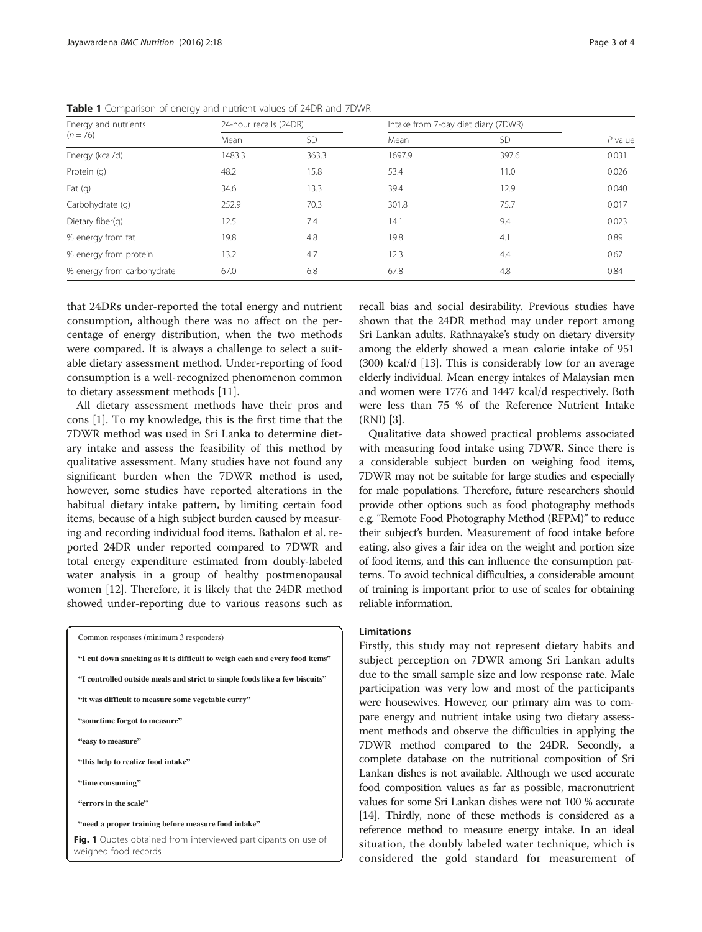| Energy and nutrients<br>$(n = 76)$ | 24-hour recalls (24DR) |           | Intake from 7-day diet diary (7DWR) |           |           |
|------------------------------------|------------------------|-----------|-------------------------------------|-----------|-----------|
|                                    | Mean                   | <b>SD</b> | Mean                                | <b>SD</b> | $P$ value |
| Energy (kcal/d)                    | 1483.3                 | 363.3     | 1697.9                              | 397.6     | 0.031     |
| Protein (q)                        | 48.2                   | 15.8      | 53.4                                | 11.0      | 0.026     |
| Fat $(q)$                          | 34.6                   | 13.3      | 39.4                                | 12.9      | 0.040     |
| Carbohydrate (q)                   | 252.9                  | 70.3      | 301.8                               | 75.7      | 0.017     |
| Dietary fiber(q)                   | 12.5                   | 7.4       | 14.1                                | 9.4       | 0.023     |
| % energy from fat                  | 19.8                   | 4.8       | 19.8                                | 4.1       | 0.89      |
| % energy from protein              | 13.2                   | 4.7       | 12.3                                | 4.4       | 0.67      |
| % energy from carbohydrate         | 67.0                   | 6.8       | 67.8                                | 4.8       | 0.84      |

<span id="page-2-0"></span>Table 1 Comparison of energy and nutrient values of 24DR and 7DWR

that 24DRs under-reported the total energy and nutrient consumption, although there was no affect on the percentage of energy distribution, when the two methods were compared. It is always a challenge to select a suitable dietary assessment method. Under-reporting of food consumption is a well-recognized phenomenon common to dietary assessment methods [\[11\]](#page-3-0).

All dietary assessment methods have their pros and cons [[1\]](#page-3-0). To my knowledge, this is the first time that the 7DWR method was used in Sri Lanka to determine dietary intake and assess the feasibility of this method by qualitative assessment. Many studies have not found any significant burden when the 7DWR method is used, however, some studies have reported alterations in the habitual dietary intake pattern, by limiting certain food items, because of a high subject burden caused by measuring and recording individual food items. Bathalon et al. reported 24DR under reported compared to 7DWR and total energy expenditure estimated from doubly-labeled water analysis in a group of healthy postmenopausal women [[12](#page-3-0)]. Therefore, it is likely that the 24DR method showed under-reporting due to various reasons such as



recall bias and social desirability. Previous studies have shown that the 24DR method may under report among Sri Lankan adults. Rathnayake's study on dietary diversity among the elderly showed a mean calorie intake of 951 (300) kcal/d [\[13\]](#page-3-0). This is considerably low for an average elderly individual. Mean energy intakes of Malaysian men and women were 1776 and 1447 kcal/d respectively. Both were less than 75 % of the Reference Nutrient Intake (RNI) [\[3](#page-3-0)].

Qualitative data showed practical problems associated with measuring food intake using 7DWR. Since there is a considerable subject burden on weighing food items, 7DWR may not be suitable for large studies and especially for male populations. Therefore, future researchers should provide other options such as food photography methods e.g. "Remote Food Photography Method (RFPM)" to reduce their subject's burden. Measurement of food intake before eating, also gives a fair idea on the weight and portion size of food items, and this can influence the consumption patterns. To avoid technical difficulties, a considerable amount of training is important prior to use of scales for obtaining reliable information.

#### Limitations

Firstly, this study may not represent dietary habits and subject perception on 7DWR among Sri Lankan adults due to the small sample size and low response rate. Male participation was very low and most of the participants were housewives. However, our primary aim was to compare energy and nutrient intake using two dietary assessment methods and observe the difficulties in applying the 7DWR method compared to the 24DR. Secondly, a complete database on the nutritional composition of Sri Lankan dishes is not available. Although we used accurate food composition values as far as possible, macronutrient values for some Sri Lankan dishes were not 100 % accurate [[14](#page-3-0)]. Thirdly, none of these methods is considered as a reference method to measure energy intake. In an ideal situation, the doubly labeled water technique, which is considered the gold standard for measurement of